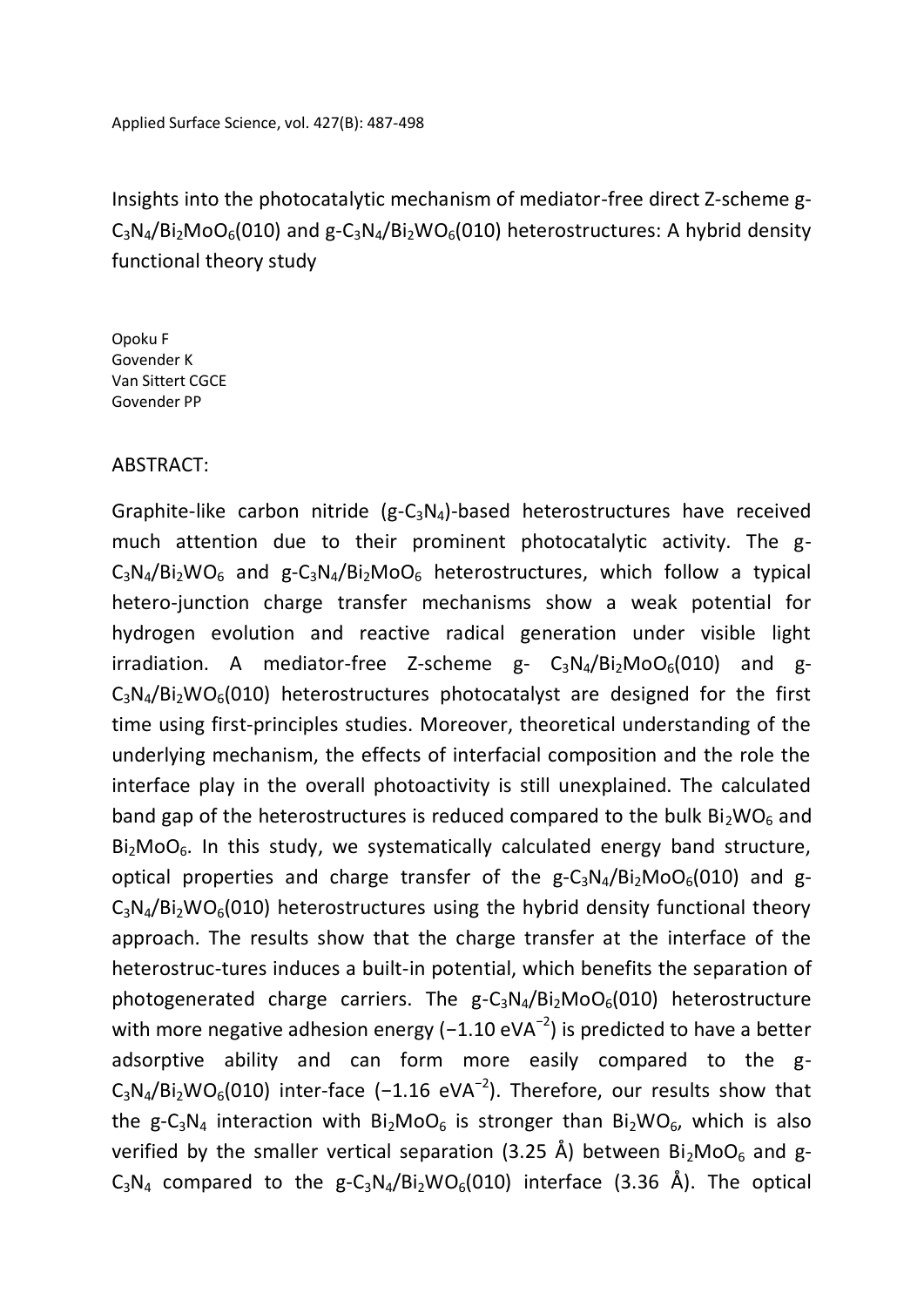Insights into the photocatalytic mechanism of mediator-free direct Z-scheme g- $C_3N_4/Bi_2MOO_6(010)$  and  $g-C_3N_4/Bi_2WO_6(010)$  heterostructures: A hybrid density functional theory study

Opoku F Govender K Van Sittert CGCE Govender PP

## ABSTRACT:

Graphite-like carbon nitride  $(g-C_3N_4)$ -based heterostructures have received much attention due to their prominent photocatalytic activity. The g- $C_3N_4/Bi_2WO_6$  and  $g-C_3N_4/Bi_2MO_6$  heterostructures, which follow a typical hetero-junction charge transfer mechanisms show a weak potential for hydrogen evolution and reactive radical generation under visible light irradiation. A mediator-free Z-scheme  $g - C_3N_4/Bi_2MOO_6(010)$  and g- $C_3N_4/Bi_2WO_6(010)$  heterostructures photocatalyst are designed for the first time using first-principles studies. Moreover, theoretical understanding of the underlying mechanism, the effects of interfacial composition and the role the interface play in the overall photoactivity is still unexplained. The calculated band gap of the heterostructures is reduced compared to the bulk  $Bi<sub>2</sub>WO<sub>6</sub>$  and  $Bi<sub>2</sub>MoO<sub>6</sub>$ . In this study, we systematically calculated energy band structure, optical properties and charge transfer of the  $g - C_3N_4/B_1$ <sub>2</sub>MoO<sub>6</sub>(010) and g- $C_3N_4/Bi_2WO_6(010)$  heterostructures using the hybrid density functional theory approach. The results show that the charge transfer at the interface of the heterostruc-tures induces a built-in potential, which benefits the separation of photogenerated charge carriers. The  $g - C_3N_4/Bi_2MOO_6(010)$  heterostructure with more negative adhesion energy (-1.10 eVA<sup>-2</sup>) is predicted to have a better adsorptive ability and can form more easily compared to the g- $C_3N_4/Bi_2WO_6(010)$  inter-face (-1.16 eVA<sup>-2</sup>). Therefore, our results show that the g-C<sub>3</sub>N<sub>4</sub> interaction with Bi<sub>2</sub>MoO<sub>6</sub> is stronger than Bi<sub>2</sub>WO<sub>6</sub>, which is also verified by the smaller vertical separation (3.25 Å) between  $Bi<sub>2</sub>MoO<sub>6</sub>$  and g- $C_3N_4$  compared to the g- $C_3N_4/Bi_2WO_6(010)$  interface (3.36 Å). The optical